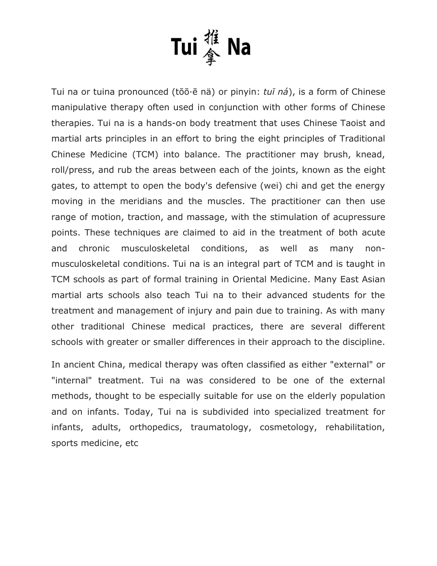

Tui na or tuina pronounced (tōō·ē nä) or [pinyin:](http://en.wikipedia.org/wiki/Pinyin) *tuī ná*), is a form of Chinese manipulative therapy often used in conjunction with other forms of Chinese therapies. Tui na is a hands-on body treatment that uses Chinese Taoist and martial arts principles in an effort to bring the [eight principles](http://en.wikipedia.org/wiki/Eight_principles) of [Traditional](http://en.wikipedia.org/wiki/Traditional_Chinese_Medicine)  [Chinese Medicine](http://en.wikipedia.org/wiki/Traditional_Chinese_Medicine) (TCM) into balance. The practitioner may brush, knead, roll/press, and rub the areas between each of the joints, known as the eight gates, to attempt to open the body's defensive (wei) chi and get the energy moving in the meridians and the muscles. The practitioner can then use range of motion, [traction,](http://en.wikipedia.org/wiki/Traction_(orthopedics)) and [massage,](http://en.wikipedia.org/wiki/Massage) with the stimulation of [acupressure](http://en.wikipedia.org/wiki/Acupressure) points. These techniques are claimed to aid in the treatment of both acute and chronic musculoskeletal conditions, as well as many nonmusculoskeletal conditions. Tui na is an integral part of TCM and is taught in TCM schools as part of formal training in Oriental Medicine. Many East Asian martial arts schools also teach Tui na to their advanced students for the treatment and management of injury and pain due to training. As with many other traditional Chinese medical practices, there are several different schools with greater or smaller differences in their approach to the discipline.

In ancient China, medical therapy was often classified as either "external" or "internal" treatment. Tui na was considered to be one of the external methods, thought to be especially suitable for use on the elderly population and on infants. Today, Tui na is subdivided into specialized treatment for infants, adults, orthopedics, traumatology, cosmetology, rehabilitation, sports medicine, etc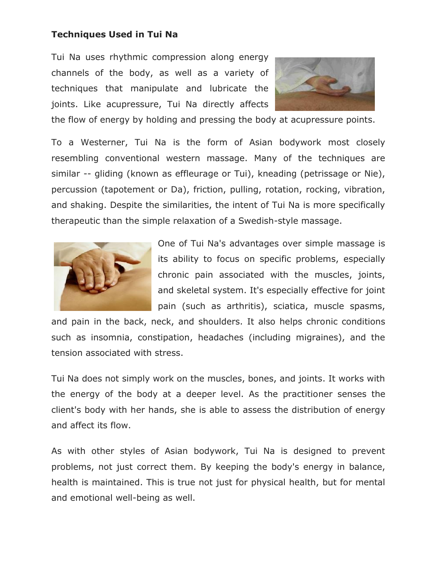# **Techniques Used in Tui Na**

Tui Na uses rhythmic compression along energy channels of the body, as well as a variety of techniques that manipulate and lubricate the joints. Like acupressure, Tui Na directly affects



the flow of energy by holding and pressing the body at acupressure points.

To a Westerner, Tui Na is the form of Asian bodywork most closely resembling conventional western massage. Many of the techniques are similar -- gliding (known as effleurage or Tui), kneading (petrissage or Nie), percussion (tapotement or Da), friction, pulling, rotation, rocking, vibration, and shaking. Despite the similarities, the intent of Tui Na is more specifically therapeutic than the simple relaxation of a Swedish-style massage.



One of Tui Na's advantages over simple massage is its ability to focus on specific problems, especially chronic pain associated with the muscles, joints, and skeletal system. It's especially effective for joint pain (such as arthritis), sciatica, muscle spasms,

and pain in the back, neck, and shoulders. It also helps chronic conditions such as insomnia, constipation, headaches (including migraines), and the tension associated with stress.

Tui Na does not simply work on the muscles, bones, and joints. It works with the energy of the body at a deeper level. As the practitioner senses the client's body with her hands, she is able to assess the distribution of energy and affect its flow.

As with other styles of Asian bodywork, Tui Na is designed to prevent problems, not just correct them. By keeping the body's energy in balance, health is maintained. This is true not just for physical health, but for mental and emotional well-being as well.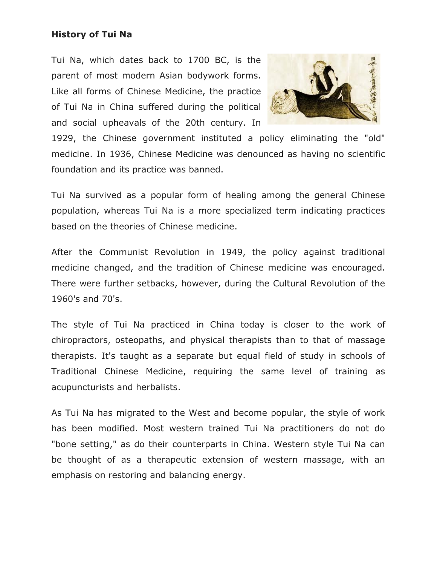### **History of Tui Na**

Tui Na, which dates back to 1700 BC, is the parent of most modern Asian bodywork forms. Like all forms of Chinese Medicine, the practice of Tui Na in China suffered during the political and social upheavals of the 20th century. In



1929, the Chinese government instituted a policy eliminating the "old" medicine. In 1936, Chinese Medicine was denounced as having no scientific foundation and its practice was banned.

Tui Na survived as a popular form of healing among the general Chinese population, whereas Tui Na is a more specialized term indicating practices based on the theories of Chinese medicine.

After the Communist Revolution in 1949, the policy against traditional medicine changed, and the tradition of Chinese medicine was encouraged. There were further setbacks, however, during the Cultural Revolution of the 1960's and 70's.

The style of Tui Na practiced in China today is closer to the work of chiropractors, osteopaths, and physical therapists than to that of massage therapists. It's taught as a separate but equal field of study in schools of Traditional Chinese Medicine, requiring the same level of training as acupuncturists and herbalists.

As Tui Na has migrated to the West and become popular, the style of work has been modified. Most western trained Tui Na practitioners do not do "bone setting," as do their counterparts in China. Western style Tui Na can be thought of as a therapeutic extension of western massage, with an emphasis on restoring and balancing energy.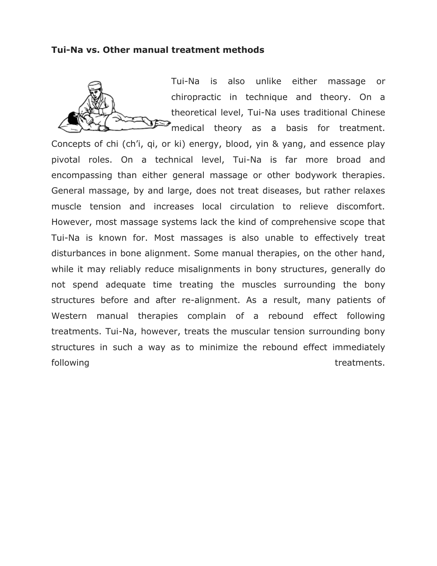#### **Tui-Na vs. Other manual treatment methods**

Tui-Na is also unlike either massage or chiropractic in technique and theory. On a theoretical level, Tui-Na uses traditional Chinese medical theory as a basis for treatment.

Concepts of chi (ch'i, qi, or ki) energy, blood, yin & yang, and essence play pivotal roles. On a technical level, Tui-Na is far more broad and encompassing than either general massage or other bodywork therapies. General massage, by and large, does not treat diseases, but rather relaxes muscle tension and increases local circulation to relieve discomfort. However, most massage systems lack the kind of comprehensive scope that Tui-Na is known for. Most massages is also unable to effectively treat disturbances in bone alignment. Some manual therapies, on the other hand, while it may reliably reduce misalignments in bony structures, generally do not spend adequate time treating the muscles surrounding the bony structures before and after re-alignment. As a result, many patients of Western manual therapies complain of a rebound effect following treatments. Tui-Na, however, treats the muscular tension surrounding bony structures in such a way as to minimize the rebound effect immediately following treatments.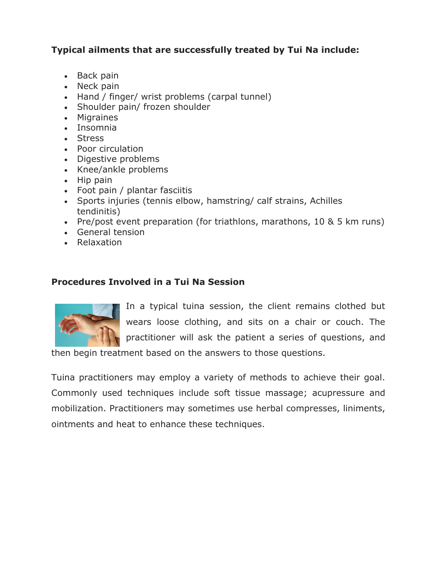# **Typical ailments that are successfully treated by Tui Na include:**

- Back pain
- Neck pain
- Hand / finger/ wrist problems (carpal tunnel)
- Shoulder pain/ frozen shoulder
- Migraines
- Insomnia
- Stress
- Poor circulation
- Digestive problems
- Knee/ankle problems
- $\bullet$  Hip pain
- Foot pain / plantar fasciitis
- Sports injuries (tennis elbow, hamstring/ calf strains, Achilles tendinitis)
- Pre/post event preparation (for triathlons, marathons, 10 & 5 km runs)
- General tension
- Relaxation

# **Procedures Involved in a Tui Na Session**



In a typical tuina session, the client remains clothed but wears loose clothing, and sits on a chair or couch. The practitioner will ask the patient a series of questions, and

then begin treatment based on the answers to those questions.

Tuina practitioners may employ a variety of methods to achieve their goal. Commonly used techniques include soft tissue massage; acupressure and mobilization. Practitioners may sometimes use herbal compresses, liniments, ointments and heat to enhance these techniques.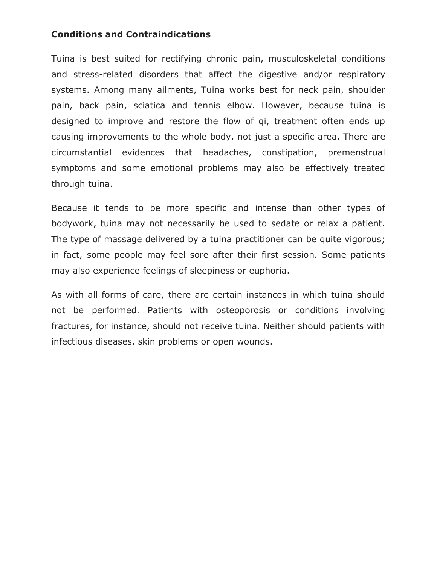## **Conditions and Contraindications**

Tuina is best suited for rectifying chronic pain, musculoskeletal conditions and stress-related disorders that affect the digestive and/or respiratory systems. Among many ailments, Tuina works best for neck pain, shoulder pain, back pain, sciatica and tennis elbow. However, because tuina is designed to improve and restore the flow of qi, treatment often ends up causing improvements to the whole body, not just a specific area. There are circumstantial evidences that headaches, constipation, premenstrual symptoms and some emotional problems may also be effectively treated through tuina.

Because it tends to be more specific and intense than other types of bodywork, tuina may not necessarily be used to sedate or relax a patient. The type of massage delivered by a tuina practitioner can be quite vigorous; in fact, some people may feel sore after their first session. Some patients may also experience feelings of sleepiness or euphoria.

As with all forms of care, there are certain instances in which tuina should not be performed. Patients with osteoporosis or conditions involving fractures, for instance, should not receive tuina. Neither should patients with infectious diseases, skin problems or open wounds.